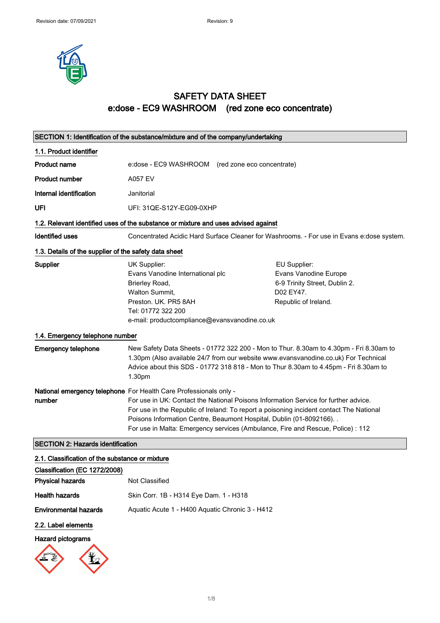

## SAFETY DATA SHEET e:dose - EC9 WASHROOM (red zone eco concentrate)

|                                                       | SECTION 1: Identification of the substance/mixture and of the company/undertaking                                                                                                   |                                                                                                                                                                                                                                                                       |
|-------------------------------------------------------|-------------------------------------------------------------------------------------------------------------------------------------------------------------------------------------|-----------------------------------------------------------------------------------------------------------------------------------------------------------------------------------------------------------------------------------------------------------------------|
| 1.1. Product identifier                               |                                                                                                                                                                                     |                                                                                                                                                                                                                                                                       |
| <b>Product name</b>                                   | e:dose - EC9 WASHROOM (red zone eco concentrate)                                                                                                                                    |                                                                                                                                                                                                                                                                       |
| <b>Product number</b>                                 | <b>A057 EV</b>                                                                                                                                                                      |                                                                                                                                                                                                                                                                       |
| Internal identification                               | Janitorial                                                                                                                                                                          |                                                                                                                                                                                                                                                                       |
| UFI                                                   | UFI: 31QE-S12Y-EG09-0XHP                                                                                                                                                            |                                                                                                                                                                                                                                                                       |
|                                                       | 1.2. Relevant identified uses of the substance or mixture and uses advised against                                                                                                  |                                                                                                                                                                                                                                                                       |
| <b>Identified uses</b>                                |                                                                                                                                                                                     | Concentrated Acidic Hard Surface Cleaner for Washrooms. - For use in Evans e: dose system.                                                                                                                                                                            |
| 1.3. Details of the supplier of the safety data sheet |                                                                                                                                                                                     |                                                                                                                                                                                                                                                                       |
| Supplier                                              | UK Supplier:<br>Evans Vanodine International plc<br>Brierley Road,<br>Walton Summit,<br>Preston, UK. PR5 8AH<br>Tel: 01772 322 200<br>e-mail: productcompliance@evansvanodine.co.uk | EU Supplier:<br>Evans Vanodine Europe<br>6-9 Trinity Street, Dublin 2.<br>D02 EY47.<br>Republic of Ireland.                                                                                                                                                           |
| 1.4. Emergency telephone number                       |                                                                                                                                                                                     |                                                                                                                                                                                                                                                                       |
| <b>Emergency telephone</b>                            | 1.30pm                                                                                                                                                                              | New Safety Data Sheets - 01772 322 200 - Mon to Thur. 8.30am to 4.30pm - Fri 8.30am to<br>1.30pm (Also available 24/7 from our website www.evansvanodine.co.uk) For Technical<br>Advice about this SDS - 01772 318 818 - Mon to Thur 8.30am to 4.45pm - Fri 8.30am to |
| number                                                | National emergency telephone For Health Care Professionals only -<br>Poisons Information Centre, Beaumont Hospital, Dublin (01-8092166). .                                          | For use in UK: Contact the National Poisons Information Service for further advice.<br>For use in the Republic of Ireland: To report a poisoning incident contact The National<br>For use in Malta: Emergency services (Ambulance, Fire and Rescue, Police) : 112     |
| <b>SECTION 2: Hazards identification</b>              |                                                                                                                                                                                     |                                                                                                                                                                                                                                                                       |
| 2.1. Classification of the substance or mixture       |                                                                                                                                                                                     |                                                                                                                                                                                                                                                                       |
| Classification (EC 1272/2008)                         |                                                                                                                                                                                     |                                                                                                                                                                                                                                                                       |
| <b>Physical hazards</b>                               | Not Classified                                                                                                                                                                      |                                                                                                                                                                                                                                                                       |
| <b>Health hazards</b>                                 | Skin Corr. 1B - H314 Eye Dam. 1 - H318                                                                                                                                              |                                                                                                                                                                                                                                                                       |
| <b>Environmental hazards</b>                          | Aquatic Acute 1 - H400 Aquatic Chronic 3 - H412                                                                                                                                     |                                                                                                                                                                                                                                                                       |
| 2.2. Label elements                                   |                                                                                                                                                                                     |                                                                                                                                                                                                                                                                       |
| <b>Hazard pictograms</b>                              |                                                                                                                                                                                     |                                                                                                                                                                                                                                                                       |

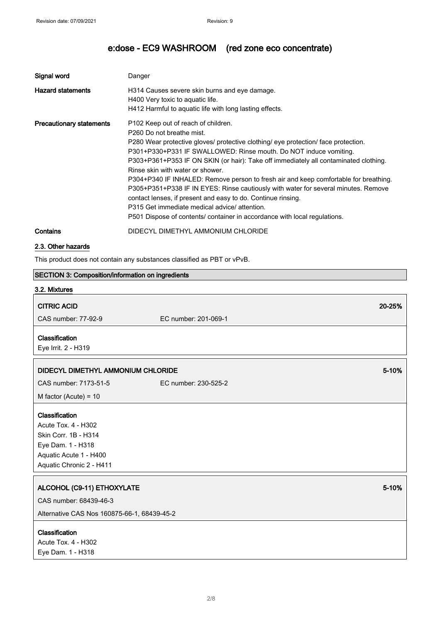| Signal word                     | Danger                                                                                                                                                                                                                                                                                                                                                                                                                                                                                                                                                                                                                                                                                                                             |
|---------------------------------|------------------------------------------------------------------------------------------------------------------------------------------------------------------------------------------------------------------------------------------------------------------------------------------------------------------------------------------------------------------------------------------------------------------------------------------------------------------------------------------------------------------------------------------------------------------------------------------------------------------------------------------------------------------------------------------------------------------------------------|
| <b>Hazard statements</b>        | H314 Causes severe skin burns and eye damage.<br>H400 Very toxic to aquatic life.<br>H412 Harmful to aquatic life with long lasting effects.                                                                                                                                                                                                                                                                                                                                                                                                                                                                                                                                                                                       |
| <b>Precautionary statements</b> | P102 Keep out of reach of children.<br>P260 Do not breathe mist.<br>P280 Wear protective gloves/ protective clothing/ eye protection/ face protection.<br>P301+P330+P331 IF SWALLOWED: Rinse mouth. Do NOT induce vomiting.<br>P303+P361+P353 IF ON SKIN (or hair): Take off immediately all contaminated clothing.<br>Rinse skin with water or shower.<br>P304+P340 IF INHALED: Remove person to fresh air and keep comfortable for breathing.<br>P305+P351+P338 IF IN EYES: Rinse cautiously with water for several minutes. Remove<br>contact lenses, if present and easy to do. Continue rinsing.<br>P315 Get immediate medical advice/attention.<br>P501 Dispose of contents/ container in accordance with local regulations. |
| Contains                        | DIDECYL DIMETHYL AMMONIUM CHLORIDE                                                                                                                                                                                                                                                                                                                                                                                                                                                                                                                                                                                                                                                                                                 |

### 2.3. Other hazards

This product does not contain any substances classified as PBT or vPvB.

| SECTION 3: Composition/information on ingredients |                      |        |
|---------------------------------------------------|----------------------|--------|
| 3.2. Mixtures                                     |                      |        |
| <b>CITRIC ACID</b>                                |                      | 20-25% |
| CAS number: 77-92-9                               | EC number: 201-069-1 |        |
| Classification                                    |                      |        |
| Eye Irrit. 2 - H319                               |                      |        |
| DIDECYL DIMETHYL AMMONIUM CHLORIDE                |                      | 5-10%  |
| CAS number: 7173-51-5                             | EC number: 230-525-2 |        |
| M factor (Acute) = $10$                           |                      |        |
| Classification                                    |                      |        |
| Acute Tox. 4 - H302                               |                      |        |
| Skin Corr. 1B - H314                              |                      |        |
| Eye Dam. 1 - H318                                 |                      |        |
| Aquatic Acute 1 - H400                            |                      |        |
| Aquatic Chronic 2 - H411                          |                      |        |
| ALCOHOL (C9-11) ETHOXYLATE                        |                      | 5-10%  |
| CAS number: 68439-46-3                            |                      |        |
| Alternative CAS Nos 160875-66-1, 68439-45-2       |                      |        |
| Classification                                    |                      |        |
| Acute Tox. 4 - H302                               |                      |        |
| Eye Dam. 1 - H318                                 |                      |        |
|                                                   |                      |        |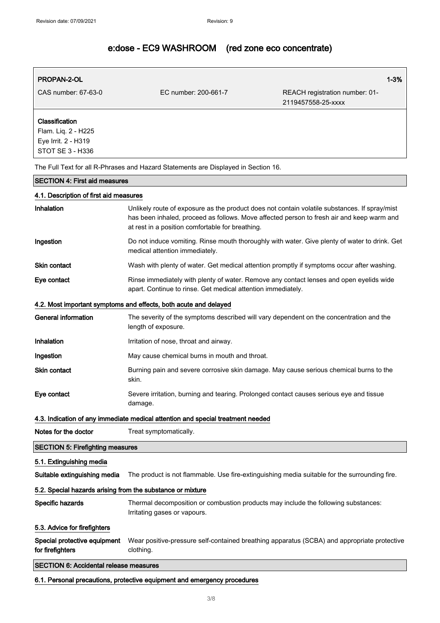### PROPAN-2-OL 2008 PROPAN-2-OL 2008 PROPAN-2-OL 2008 PROPAN-2-OL 2008 PROPAN-2-OL 2008 PROPAN-2-OL 2008

CAS number: 67-63-0 EC number: 200-661-7 REACH registration number: 01- 2119457558-25-xxxx

## Classification Flam. Liq. 2 - H225 Eye Irrit. 2 - H319 STOT SE 3 - H336

The Full Text for all R-Phrases and Hazard Statements are Displayed in Section 16.

### SECTION 4: First aid measures

### 4.1. Description of first aid measures

| Inhalation                                                 | Unlikely route of exposure as the product does not contain volatile substances. If spray/mist<br>has been inhaled, proceed as follows. Move affected person to fresh air and keep warm and<br>at rest in a position comfortable for breathing. |
|------------------------------------------------------------|------------------------------------------------------------------------------------------------------------------------------------------------------------------------------------------------------------------------------------------------|
| Ingestion                                                  | Do not induce vomiting. Rinse mouth thoroughly with water. Give plenty of water to drink. Get<br>medical attention immediately.                                                                                                                |
| <b>Skin contact</b>                                        | Wash with plenty of water. Get medical attention promptly if symptoms occur after washing.                                                                                                                                                     |
| Eye contact                                                | Rinse immediately with plenty of water. Remove any contact lenses and open eyelids wide<br>apart. Continue to rinse. Get medical attention immediately.                                                                                        |
|                                                            | 4.2. Most important symptoms and effects, both acute and delayed                                                                                                                                                                               |
| <b>General information</b>                                 | The severity of the symptoms described will vary dependent on the concentration and the<br>length of exposure.                                                                                                                                 |
| Inhalation                                                 | Irritation of nose, throat and airway.                                                                                                                                                                                                         |
| Ingestion                                                  | May cause chemical burns in mouth and throat.                                                                                                                                                                                                  |
| <b>Skin contact</b>                                        | Burning pain and severe corrosive skin damage. May cause serious chemical burns to the<br>skin.                                                                                                                                                |
| Eye contact                                                | Severe irritation, burning and tearing. Prolonged contact causes serious eye and tissue<br>damage.                                                                                                                                             |
|                                                            | 4.3. Indication of any immediate medical attention and special treatment needed                                                                                                                                                                |
| Notes for the doctor                                       | Treat symptomatically.                                                                                                                                                                                                                         |
| <b>SECTION 5: Firefighting measures</b>                    |                                                                                                                                                                                                                                                |
| 5.1. Extinguishing media                                   |                                                                                                                                                                                                                                                |
| Suitable extinguishing media                               | The product is not flammable. Use fire-extinguishing media suitable for the surrounding fire.                                                                                                                                                  |
| 5.2. Special hazards arising from the substance or mixture |                                                                                                                                                                                                                                                |
| Specific hazards                                           | Thermal decomposition or combustion products may include the following substances:<br>Irritating gases or vapours.                                                                                                                             |
| 5.3. Advice for firefighters                               |                                                                                                                                                                                                                                                |
| Special protective equipment<br>for firefighters           | Wear positive-pressure self-contained breathing apparatus (SCBA) and appropriate protective<br>clothing.                                                                                                                                       |
| <b>SECTION 6: Accidental release measures</b>              |                                                                                                                                                                                                                                                |
|                                                            | 6.1. Personal precautions, protective equipment and emergency procedures                                                                                                                                                                       |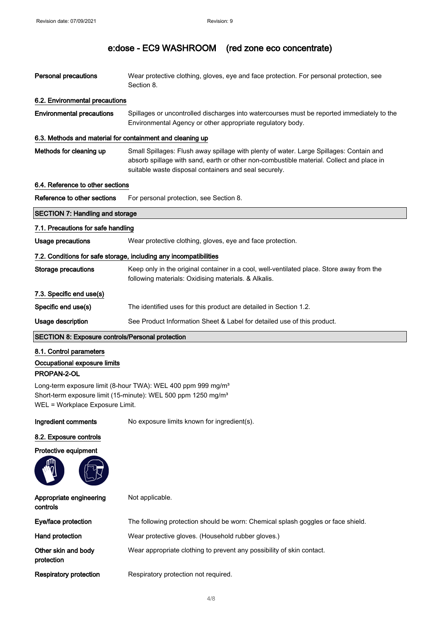| Personal precautions                                                                                                                                                                     | Wear protective clothing, gloves, eye and face protection. For personal protection, see<br>Section 8.                                                                                                                                        |  |
|------------------------------------------------------------------------------------------------------------------------------------------------------------------------------------------|----------------------------------------------------------------------------------------------------------------------------------------------------------------------------------------------------------------------------------------------|--|
| 6.2. Environmental precautions                                                                                                                                                           |                                                                                                                                                                                                                                              |  |
| <b>Environmental precautions</b>                                                                                                                                                         | Spillages or uncontrolled discharges into watercourses must be reported immediately to the<br>Environmental Agency or other appropriate regulatory body.                                                                                     |  |
| 6.3. Methods and material for containment and cleaning up                                                                                                                                |                                                                                                                                                                                                                                              |  |
| Methods for cleaning up                                                                                                                                                                  | Small Spillages: Flush away spillage with plenty of water. Large Spillages: Contain and<br>absorb spillage with sand, earth or other non-combustible material. Collect and place in<br>suitable waste disposal containers and seal securely. |  |
| 6.4. Reference to other sections                                                                                                                                                         |                                                                                                                                                                                                                                              |  |
| Reference to other sections                                                                                                                                                              | For personal protection, see Section 8.                                                                                                                                                                                                      |  |
| <b>SECTION 7: Handling and storage</b>                                                                                                                                                   |                                                                                                                                                                                                                                              |  |
| 7.1. Precautions for safe handling                                                                                                                                                       |                                                                                                                                                                                                                                              |  |
| <b>Usage precautions</b>                                                                                                                                                                 | Wear protective clothing, gloves, eye and face protection.                                                                                                                                                                                   |  |
| 7.2. Conditions for safe storage, including any incompatibilities                                                                                                                        |                                                                                                                                                                                                                                              |  |
| Storage precautions                                                                                                                                                                      | Keep only in the original container in a cool, well-ventilated place. Store away from the<br>following materials: Oxidising materials. & Alkalis.                                                                                            |  |
| 7.3. Specific end use(s)                                                                                                                                                                 |                                                                                                                                                                                                                                              |  |
| Specific end use(s)                                                                                                                                                                      | The identified uses for this product are detailed in Section 1.2.                                                                                                                                                                            |  |
| Usage description                                                                                                                                                                        | See Product Information Sheet & Label for detailed use of this product.                                                                                                                                                                      |  |
| <b>SECTION 8: Exposure controls/Personal protection</b>                                                                                                                                  |                                                                                                                                                                                                                                              |  |
| 8.1. Control parameters                                                                                                                                                                  |                                                                                                                                                                                                                                              |  |
| Occupational exposure limits                                                                                                                                                             |                                                                                                                                                                                                                                              |  |
| PROPAN-2-OL                                                                                                                                                                              |                                                                                                                                                                                                                                              |  |
| Long-term exposure limit (8-hour TWA): WEL 400 ppm 999 mg/m <sup>3</sup><br>Short-term exposure limit (15-minute): WEL 500 ppm 1250 mg/m <sup>3</sup><br>WEL = Workplace Exposure Limit. |                                                                                                                                                                                                                                              |  |
| Ingredient comments                                                                                                                                                                      | No exposure limits known for ingredient(s).                                                                                                                                                                                                  |  |
| 8.2. Exposure controls                                                                                                                                                                   |                                                                                                                                                                                                                                              |  |

## Protective equipment

| Appropriate engineering<br>controls | Not applicable.                                                                  |
|-------------------------------------|----------------------------------------------------------------------------------|
| Eye/face protection                 | The following protection should be worn: Chemical splash goggles or face shield. |
| Hand protection                     | Wear protective gloves. (Household rubber gloves.)                               |
| Other skin and body<br>protection   | Wear appropriate clothing to prevent any possibility of skin contact.            |
| <b>Respiratory protection</b>       | Respiratory protection not required.                                             |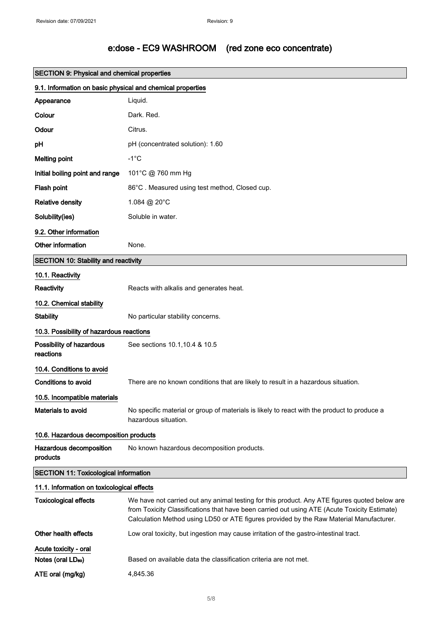| <b>SECTION 9: Physical and chemical properties</b>         |                                                                                                                                                                                                                                                                                          |  |
|------------------------------------------------------------|------------------------------------------------------------------------------------------------------------------------------------------------------------------------------------------------------------------------------------------------------------------------------------------|--|
| 9.1. Information on basic physical and chemical properties |                                                                                                                                                                                                                                                                                          |  |
| Appearance                                                 | Liquid.                                                                                                                                                                                                                                                                                  |  |
| Colour                                                     | Dark. Red.                                                                                                                                                                                                                                                                               |  |
| Odour                                                      | Citrus.                                                                                                                                                                                                                                                                                  |  |
| рH                                                         | pH (concentrated solution): 1.60                                                                                                                                                                                                                                                         |  |
| <b>Melting point</b>                                       | $-1^{\circ}C$                                                                                                                                                                                                                                                                            |  |
| Initial boiling point and range                            | 101°C @ 760 mm Hg                                                                                                                                                                                                                                                                        |  |
| Flash point                                                | 86°C. Measured using test method, Closed cup.                                                                                                                                                                                                                                            |  |
| <b>Relative density</b>                                    | 1.084 @ 20°C                                                                                                                                                                                                                                                                             |  |
| Solubility(ies)                                            | Soluble in water.                                                                                                                                                                                                                                                                        |  |
| 9.2. Other information                                     |                                                                                                                                                                                                                                                                                          |  |
| Other information                                          | None.                                                                                                                                                                                                                                                                                    |  |
| <b>SECTION 10: Stability and reactivity</b>                |                                                                                                                                                                                                                                                                                          |  |
| 10.1. Reactivity                                           |                                                                                                                                                                                                                                                                                          |  |
| Reactivity                                                 | Reacts with alkalis and generates heat.                                                                                                                                                                                                                                                  |  |
| 10.2. Chemical stability                                   |                                                                                                                                                                                                                                                                                          |  |
| <b>Stability</b>                                           | No particular stability concerns.                                                                                                                                                                                                                                                        |  |
| 10.3. Possibility of hazardous reactions                   |                                                                                                                                                                                                                                                                                          |  |
| Possibility of hazardous<br>reactions                      | See sections 10.1, 10.4 & 10.5                                                                                                                                                                                                                                                           |  |
| 10.4. Conditions to avoid                                  |                                                                                                                                                                                                                                                                                          |  |
| <b>Conditions to avoid</b>                                 | There are no known conditions that are likely to result in a hazardous situation.                                                                                                                                                                                                        |  |
| 10.5. Incompatible materials                               |                                                                                                                                                                                                                                                                                          |  |
| <b>Materials to avoid</b>                                  | No specific material or group of materials is likely to react with the product to produce a<br>hazardous situation.                                                                                                                                                                      |  |
| 10.6. Hazardous decomposition products                     |                                                                                                                                                                                                                                                                                          |  |
| Hazardous decomposition<br>products                        | No known hazardous decomposition products.                                                                                                                                                                                                                                               |  |
| <b>SECTION 11: Toxicological information</b>               |                                                                                                                                                                                                                                                                                          |  |
| 11.1. Information on toxicological effects                 |                                                                                                                                                                                                                                                                                          |  |
| <b>Toxicological effects</b>                               | We have not carried out any animal testing for this product. Any ATE figures quoted below are<br>from Toxicity Classifications that have been carried out using ATE (Acute Toxicity Estimate)<br>Calculation Method using LD50 or ATE figures provided by the Raw Material Manufacturer. |  |
| Other health effects                                       | Low oral toxicity, but ingestion may cause irritation of the gastro-intestinal tract.                                                                                                                                                                                                    |  |
| Acute toxicity - oral                                      |                                                                                                                                                                                                                                                                                          |  |
| Notes (oral LD <sub>50</sub> )                             | Based on available data the classification criteria are not met.                                                                                                                                                                                                                         |  |
| ATE oral (mg/kg)                                           | 4,845.36                                                                                                                                                                                                                                                                                 |  |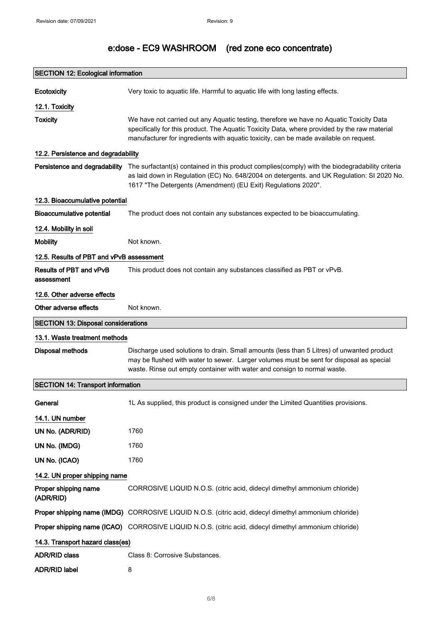| <b>SECTION 12: Ecological information</b>  |                                                                                                                                                                                                                                                                                              |
|--------------------------------------------|----------------------------------------------------------------------------------------------------------------------------------------------------------------------------------------------------------------------------------------------------------------------------------------------|
| Ecotoxicity                                | Very toxic to aquatic life. Harmful to aquatic life with long lasting effects.                                                                                                                                                                                                               |
| 12.1. Toxicity                             |                                                                                                                                                                                                                                                                                              |
| <b>Toxicity</b>                            | We have not carried out any Aquatic testing, therefore we have no Aquatic Toxicity Data<br>specifically for this product. The Aquatic Toxicity Data, where provided by the raw material<br>manufacturer for ingredients with aquatic toxicity, can be made available on request.             |
| 12.2. Persistence and degradability        |                                                                                                                                                                                                                                                                                              |
|                                            | Persistence and degradability The surfactant(s) contained in this product complies(comply) with the biodegradability criteria<br>as laid down in Regulation (EC) No. 648/2004 on detergents. and UK Regulation: SI 2020 No.<br>1617 "The Detergents (Amendment) (EU Exit) Regulations 2020". |
| 12.3. Bioaccumulative potential            |                                                                                                                                                                                                                                                                                              |
| <b>Bioaccumulative potential</b>           | The product does not contain any substances expected to be bioaccumulating.                                                                                                                                                                                                                  |
| 12.4. Mobility in soil                     |                                                                                                                                                                                                                                                                                              |
| <b>Mobility</b>                            | Not known.                                                                                                                                                                                                                                                                                   |
| 12.5. Results of PBT and vPvB assessment   |                                                                                                                                                                                                                                                                                              |
| Results of PBT and vPvB<br>assessment      | This product does not contain any substances classified as PBT or vPvB.                                                                                                                                                                                                                      |
| 12.6. Other adverse effects                |                                                                                                                                                                                                                                                                                              |
| Other adverse effects                      | Not known.                                                                                                                                                                                                                                                                                   |
| <b>SECTION 13: Disposal considerations</b> |                                                                                                                                                                                                                                                                                              |
| 13.1. Waste treatment methods              |                                                                                                                                                                                                                                                                                              |
| <b>Disposal methods</b>                    | Discharge used solutions to drain. Small amounts (less than 5 Litres) of unwanted product<br>may be flushed with water to sewer. Larger volumes must be sent for disposal as special<br>waste. Rinse out empty container with water and consign to normal waste.                             |
| <b>SECTION 14: Transport information</b>   |                                                                                                                                                                                                                                                                                              |
| General                                    | 1L As supplied, this product is consigned under the Limited Quantities provisions.                                                                                                                                                                                                           |
| 14.1. UN number                            |                                                                                                                                                                                                                                                                                              |
| UN No. (ADR/RID)                           | 1760                                                                                                                                                                                                                                                                                         |
| UN No. (IMDG)                              | 1760                                                                                                                                                                                                                                                                                         |
| UN No. (ICAO)                              | 1760                                                                                                                                                                                                                                                                                         |
| 14.2. UN proper shipping name              |                                                                                                                                                                                                                                                                                              |
| Proper shipping name<br>(ADR/RID)          | CORROSIVE LIQUID N.O.S. (citric acid, didecyl dimethyl ammonium chloride)                                                                                                                                                                                                                    |
|                                            | Proper shipping name (IMDG) CORROSIVE LIQUID N.O.S. (citric acid, didecyl dimethyl ammonium chloride)                                                                                                                                                                                        |
|                                            | Proper shipping name (ICAO) CORROSIVE LIQUID N.O.S. (citric acid, didecyl dimethyl ammonium chloride)                                                                                                                                                                                        |
| 14.3. Transport hazard class(es)           |                                                                                                                                                                                                                                                                                              |
| <b>ADR/RID class</b>                       | Class 8: Corrosive Substances.                                                                                                                                                                                                                                                               |
| <b>ADR/RID label</b>                       | 8                                                                                                                                                                                                                                                                                            |
|                                            |                                                                                                                                                                                                                                                                                              |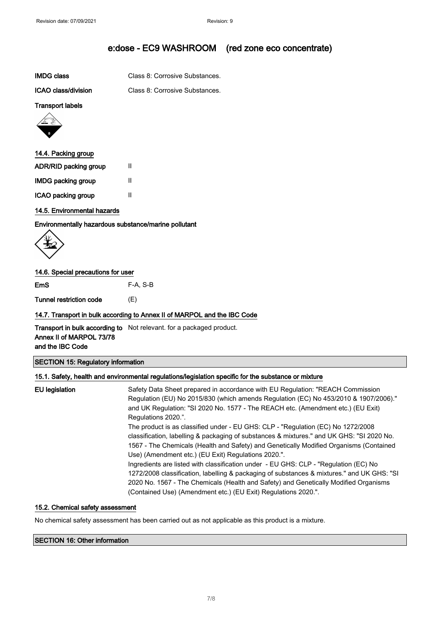| IMDG class | Class 8: Corrosive Substances. |
|------------|--------------------------------|
|            |                                |

ICAO class/division Class 8: Corrosive Substances.

### Transport labels



### 14.4. Packing group

| <b>ADR/RID packing group</b> | Ш |
|------------------------------|---|
| <b>IMDG packing group</b>    | Ш |
| ICAO packing group           | Ш |

### 14.5. Environmental hazards

Environmentally hazardous substance/marine pollutant

$$
\left\langle \begin{matrix} \downarrow \\ \downarrow \end{matrix} \right\rangle
$$

### 14.6. Special precautions for user

EmS F-A, S-B

Tunnel restriction code (E)

### 14.7. Transport in bulk according to Annex II of MARPOL and the IBC Code

**Transport in bulk according to** Not relevant. for a packaged product. Annex II of MARPOL 73/78 and the IBC Code

### SECTION 15: Regulatory information

### 15.1. Safety, health and environmental regulations/legislation specific for the substance or mixture

| EU legislation | Safety Data Sheet prepared in accordance with EU Regulation: "REACH Commission<br>Regulation (EU) No 2015/830 (which amends Regulation (EC) No 453/2010 & 1907/2006)."<br>and UK Regulation: "SI 2020 No. 1577 - The REACH etc. (Amendment etc.) (EU Exit)<br>Regulations 2020.".                                                            |
|----------------|----------------------------------------------------------------------------------------------------------------------------------------------------------------------------------------------------------------------------------------------------------------------------------------------------------------------------------------------|
|                | The product is as classified under - EU GHS: CLP - "Regulation (EC) No 1272/2008<br>classification, labelling & packaging of substances & mixtures." and UK GHS: "SI 2020 No.<br>1567 - The Chemicals (Health and Safety) and Genetically Modified Organisms (Contained<br>Use) (Amendment etc.) (EU Exit) Regulations 2020.".               |
|                | Ingredients are listed with classification under - EU GHS: CLP - "Regulation (EC) No<br>1272/2008 classification, labelling & packaging of substances & mixtures." and UK GHS: "SI<br>2020 No. 1567 - The Chemicals (Health and Safety) and Genetically Modified Organisms<br>(Contained Use) (Amendment etc.) (EU Exit) Regulations 2020.". |

### 15.2. Chemical safety assessment

No chemical safety assessment has been carried out as not applicable as this product is a mixture.

### SECTION 16: Other information